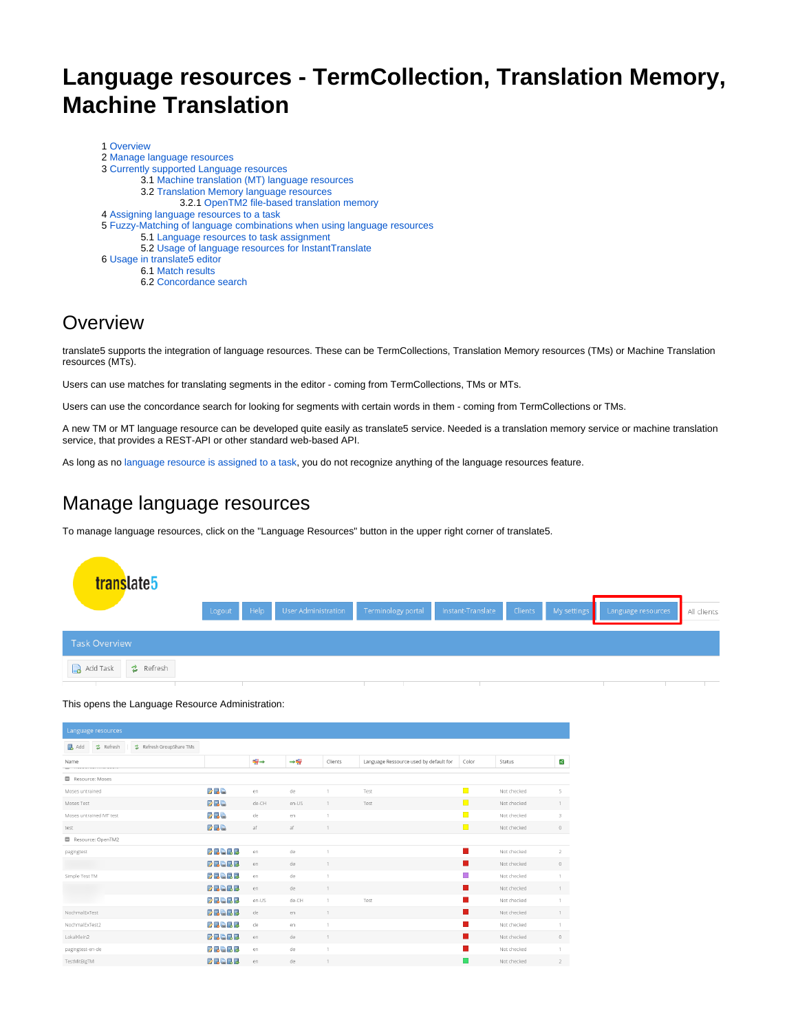# **Language resources - TermCollection, Translation Memory, Machine Translation**

| 1 Overview                                                              |
|-------------------------------------------------------------------------|
| 2 Manage language resources                                             |
| 3 Currently supported Language resources                                |
| 3.1 Machine translation (MT) language resources                         |
| 3.2 Translation Memory language resources                               |
| 3.2.1 OpenTM2 file-based translation memory                             |
| 4 Assigning language resources to a task                                |
| 5 Fuzzy-Matching of language combinations when using language resources |
| 5.1 Language resources to task assignment                               |
| 5.2 Usage of language resources for InstantTranslate                    |
| 6 Usage in translate5 editor                                            |
| 6.1 Match results                                                       |
| 6.2 Concordance search                                                  |
|                                                                         |

### <span id="page-0-0"></span>**Overview**

translate5 supports the integration of language resources. These can be TermCollections, Translation Memory resources (TMs) or Machine Translation resources (MTs).

Users can use matches for translating segments in the editor - coming from TermCollections, TMs or MTs.

Users can use the concordance search for looking for segments with certain words in them - coming from TermCollections or TMs.

A new TM or MT language resource can be developed quite easily as translate5 service. Needed is a translation memory service or machine translation service, that provides a REST-API or other standard web-based API.

As long as no [language resource is assigned to a task,](https://confluence.translate5.net/pages/viewpage.action?pageId=6094904#LanguageresourcesTermCollection,TranslationMemory,MachineTranslation-assi) you do not recognize anything of the language resources feature.

### <span id="page-0-1"></span>Manage language resources

To manage language resources, click on the "Language Resources" button in the upper right corner of translate5.



#### This opens the Language Resource Administration:

| Language resources                                         |              |               |               |              |                                        |             |             |                |  |  |  |
|------------------------------------------------------------|--------------|---------------|---------------|--------------|----------------------------------------|-------------|-------------|----------------|--|--|--|
| Refresh GroupShare TMs<br><b>昆</b> Add<br><b>る</b> Refresh |              |               |               |              |                                        |             |             |                |  |  |  |
| Name<br>-------------------------                          |              | $\Rightarrow$ | $\rightarrow$ | Clients      | Language Ressource used by default for | Color       | Status      | K              |  |  |  |
| Resource: Moses                                            |              |               |               |              |                                        |             |             |                |  |  |  |
| Moses untrained                                            | まる。          | en            | de            | 1.           | Test                                   | <b>Tall</b> | Not checked | 5              |  |  |  |
| Moses Test                                                 | 739          | de-CH         | en-US         | 1            | Test                                   | $\Box$      | Not checked | 1              |  |  |  |
| Moses untrained MT test                                    | 330          | de            | en            | 1            |                                        | $\Box$      | Not checked | $\overline{3}$ |  |  |  |
| test                                                       | $d$ de       | af            | af            | 1            |                                        | $\Box$      | Not checked | $\circ$        |  |  |  |
| Resource: OpenTM2                                          |              |               |               |              |                                        |             |             |                |  |  |  |
| pagingtest                                                 | <b>BBBB</b>  | en            | de            |              |                                        |             | Not checked | $\overline{2}$ |  |  |  |
|                                                            | <b>26668</b> | en            | de            | 1.           |                                        | ٠           | Not checked | $\circ$        |  |  |  |
| Simple Test TM                                             | <b>26668</b> | en            | de            |              |                                        | П           | Not checked | 1              |  |  |  |
|                                                            | <b>DEGRE</b> | en            | de            | 1            |                                        | м           | Not checked | 1              |  |  |  |
|                                                            | <b>Dece</b>  | en-US         | de-CH         |              | Test                                   | п           | Not checked | 1              |  |  |  |
| NochmalExTest                                              | <b>DBGBB</b> | de            | en            | $\mathbf{1}$ |                                        | ×.          | Not checked | 1              |  |  |  |
| NochmalExTest2                                             | <b>Deale</b> | de            | en            | $\Delta$     |                                        | ×           | Not checked | $\mathbf{1}$   |  |  |  |
| LokalKlein2                                                | <b>DBGBB</b> | en            | de            |              |                                        | ٠           | Not checked | $\circ$        |  |  |  |
| pagingtest-en-de                                           | <b>BBABB</b> | en            | de            | 1            |                                        |             | Not checked | $\overline{1}$ |  |  |  |
| TestMitBigTM                                               | <b>BBGRB</b> | en            | de            |              |                                        |             | Not checked | $\overline{2}$ |  |  |  |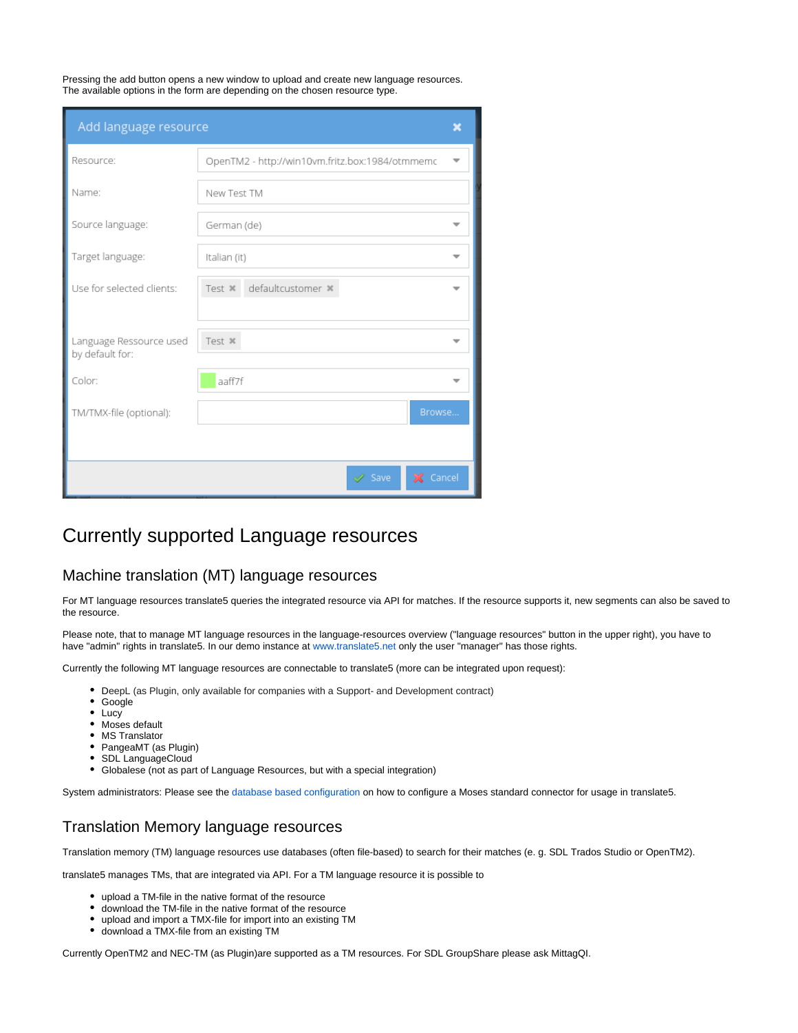Pressing the add button opens a new window to upload and create new language resources. The available options in the form are depending on the chosen resource type.

| Add language resource                      |                                                 |  |  |  |  |  |
|--------------------------------------------|-------------------------------------------------|--|--|--|--|--|
| Resource:                                  | OpenTM2 - http://win10vm.fritz.box:1984/otmmemc |  |  |  |  |  |
| Name:                                      | New Test TM                                     |  |  |  |  |  |
| Source language:                           | German (de)                                     |  |  |  |  |  |
| Target language:                           | Italian (it)                                    |  |  |  |  |  |
| Use for selected clients:                  | defaultcustomer *<br>Test *                     |  |  |  |  |  |
| Language Ressource used<br>by default for: | Test *                                          |  |  |  |  |  |
| Color:                                     | aaff7f                                          |  |  |  |  |  |
| TM/TMX-file (optional):                    | Browse                                          |  |  |  |  |  |
|                                            |                                                 |  |  |  |  |  |
|                                            | X Cancel<br>Save                                |  |  |  |  |  |

### <span id="page-1-0"></span>Currently supported Language resources

#### <span id="page-1-1"></span>Machine translation (MT) language resources

For MT language resources translate5 queries the integrated resource via API for matches. If the resource supports it, new segments can also be saved to the resource.

Please note, that to manage MT language resources in the language-resources overview ("language resources" button in the upper right), you have to have "admin" rights in translate5. In our demo instance at [www.translate5.net](http://www.translate5.net) only the user "manager" has those rights.

Currently the following MT language resources are connectable to translate5 (more can be integrated upon request):

- DeepL (as Plugin, only available for companies with a Support- and Development contract)
- $\bullet$ Google
- Lucy
- Moses default
- MS Translator
- PangeaMT (as Plugin)
- SDL LanguageCloud
- Globalese (not as part of Language Resources, but with a special integration)

System administrators: Please see the [database based configuration o](https://confluence.translate5.net/display/CON/Database+based+configuration)n how to configure a Moses standard connector for usage in translate5.

### <span id="page-1-2"></span>Translation Memory language resources

Translation memory (TM) language resources use databases (often file-based) to search for their matches (e. g. SDL Trados Studio or OpenTM2).

translate5 manages TMs, that are integrated via API. For a TM language resource it is possible to

- upload a TM-file in the native format of the resource
- $\bullet$ download the TM-file in the native format of the resource
- upload and import a TMX-file for import into an existing TM
- download a TMX-file from an existing TM

<span id="page-1-3"></span>Currently OpenTM2 and NEC-TM (as Plugin)are supported as a TM resources. For SDL GroupShare please ask MittagQI.